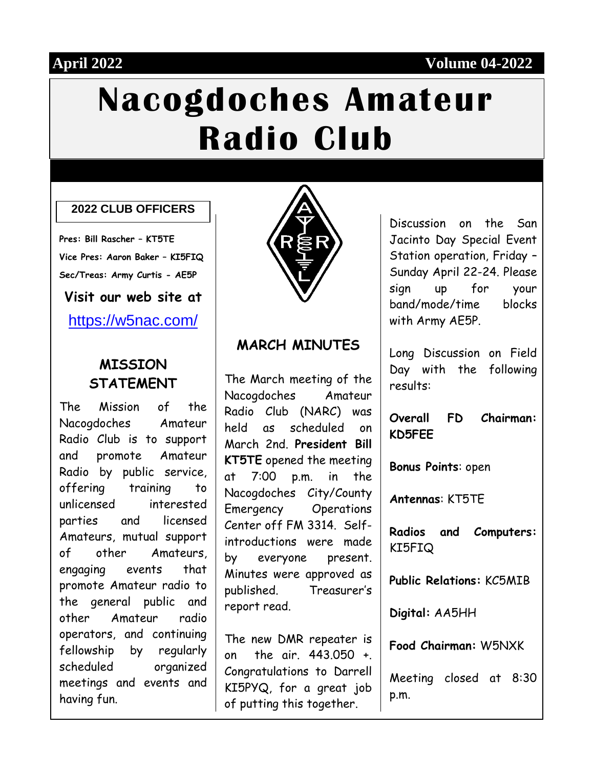#### **April 2022 Volume 04-2022**

# **Nacogdoches Amateur Radio Club**

#### **2022 CLUB OFFICERS**

**Pres: Bill Rascher – KT5TE Vice Pres: Aaron Baker – KI5FIQ Sec/Treas: Army Curtis - AE5P Visit our web site at**

<https://w5nac.com/>

#### **MISSION STATEMENT**

The Mission of the Nacogdoches Amateur Radio Club is to support and promote Amateur Radio by public service, offering training to unlicensed interested parties and licensed Amateurs, mutual support of other Amateurs, engaging events that promote Amateur radio to the general public and other Amateur radio operators, and continuing fellowship by regularly scheduled organized meetings and events and having fun.



#### **MARCH MINUTES**

The March meeting of the Nacogdoches Amateur Radio Club (NARC) was held as scheduled on March 2nd. **President Bill KT5TE** opened the meeting at 7:00 p.m. in the Nacogdoches City/County Emergency Operations Center off FM 3314. Selfintroductions were made by everyone present. Minutes were approved as published. Treasurer's report read.

The new DMR repeater is on the air. 443.050 +. Congratulations to Darrell KI5PYQ, for a great job of putting this together.

Discussion on the San Jacinto Day Special Event Station operation, Friday – Sunday April 22-24. Please sign up for your band/mode/time blocks with Army AE5P.

Long Discussion on Field Day with the following results:

**Overall FD Chairman: KD5FEE**

**Bonus Points**: open

**Antennas**: KT5TE

**Radios and Computers:** KI5FIQ

**Public Relations:** KC5MIB

**Digital:** AA5HH

**Food Chairman:** W5NXK

Meeting closed at 8:30 p.m.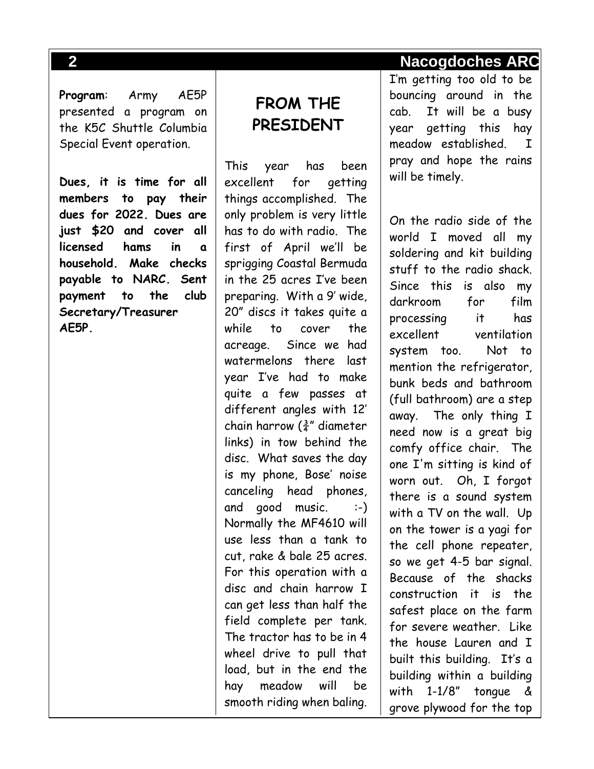**Program**: Army AE5P presented a program on the K5C Shuttle Columbia Special Event operation.

**Dues, it is time for all members to pay their dues for 2022. Dues are just \$20 and cover all licensed hams in a household. Make checks payable to NARC. Sent payment to the club Secretary/Treasurer AE5P.**

# **FROM THE PRESIDENT**

This year has been excellent for getting things accomplished. The only problem is very little has to do with radio. The first of April we'll be sprigging Coastal Bermuda in the 25 acres I've been preparing. With a 9' wide, 20" discs it takes quite a while to cover the acreage. Since we had watermelons there last year I've had to make quite a few passes at different angles with 12' chain harrow  $(\frac{3}{4}$ " diameter links) in tow behind the disc. What saves the day is my phone, Bose' noise canceling head phones, and good music. :-) Normally the MF4610 will use less than a tank to cut, rake & bale 25 acres. For this operation with a disc and chain harrow I can get less than half the field complete per tank. The tractor has to be in 4 wheel drive to pull that load, but in the end the hay meadow will be smooth riding when baling.

I'm getting too old to be bouncing around in the cab. It will be a busy year getting this hay meadow established. I pray and hope the rains will be timely.

On the radio side of the world I moved all my soldering and kit building stuff to the radio shack. Since this is also my darkroom for film processing it has excellent ventilation system too. Not to mention the refrigerator, bunk beds and bathroom (full bathroom) are a step away. The only thing I need now is a great big comfy office chair. The one I'm sitting is kind of worn out. Oh, I forgot there is a sound system with a TV on the wall. Up on the tower is a yagi for the cell phone repeater, so we get 4-5 bar signal. Because of the shacks construction it is the safest place on the farm for severe weather. Like the house Lauren and I built this building. It's a building within a building with 1-1/8" tongue & grove plywood for the top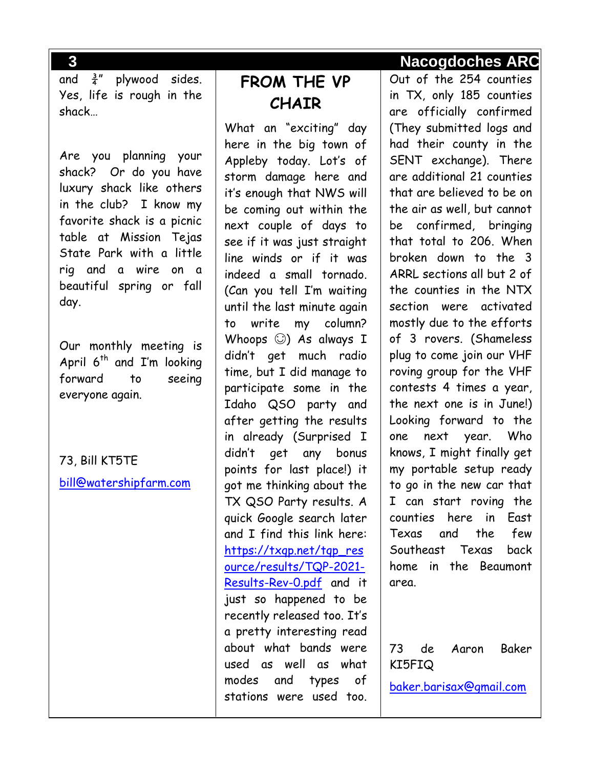and  $\frac{3}{4}$ " plywood sides. Yes, life is rough in the shack…

Are you planning your shack? Or do you have luxury shack like others in the club? I know my favorite shack is a picnic table at Mission Tejas State Park with a little rig and a wire on a beautiful spring or fall day.

Our monthly meeting is April  $6^{th}$  and I'm looking forward to seeing everyone again.

73, Bill KT5TE [bill@watershipfarm.com](mailto:bill@watershipfarm.com)

# **FROM THE VP CHAIR**

What an "exciting" day here in the big town of Appleby today. Lot's of storm damage here and it's enough that NWS will be coming out within the next couple of days to see if it was just straight line winds or if it was indeed a small tornado. (Can you tell I'm waiting until the last minute again to write my column? Whoops  $\odot$ ) As always I didn't get much radio time, but I did manage to participate some in the Idaho QSO party and after getting the results in already (Surprised I didn't get any bonus points for last place!) it got me thinking about the TX QSO Party results. A quick Google search later and I find this link here: [https://txqp.net/tqp\\_res](https://txqp.net/tqp_resource/results/TQP-2021-Results-Rev-0.pdf) [ource/results/TQP-2021-](https://txqp.net/tqp_resource/results/TQP-2021-Results-Rev-0.pdf) [Results-Rev-0.pdf](https://txqp.net/tqp_resource/results/TQP-2021-Results-Rev-0.pdf) and it just so happened to be recently released too. It's a pretty interesting read about what bands were used as well as what modes and types of stations were used too.

#### **3 Nacogdoches ARC**

Out of the 254 counties in TX, only 185 counties are officially confirmed (They submitted logs and had their county in the SENT exchange). There are additional 21 counties that are believed to be on the air as well, but cannot be confirmed, bringing that total to 206. When broken down to the 3 ARRL sections all but 2 of the counties in the NTX section were activated mostly due to the efforts of 3 rovers. (Shameless plug to come join our VHF roving group for the VHF contests 4 times a year, the next one is in June!) Looking forward to the one next year. Who knows, I might finally get my portable setup ready to go in the new car that I can start roving the counties here in East Texas and the few Southeast Texas back home in the Beaumont area.

73 de Aaron Baker KI5FIQ

[baker.barisax@gmail.com](mailto:baker.barisax@gmail.com)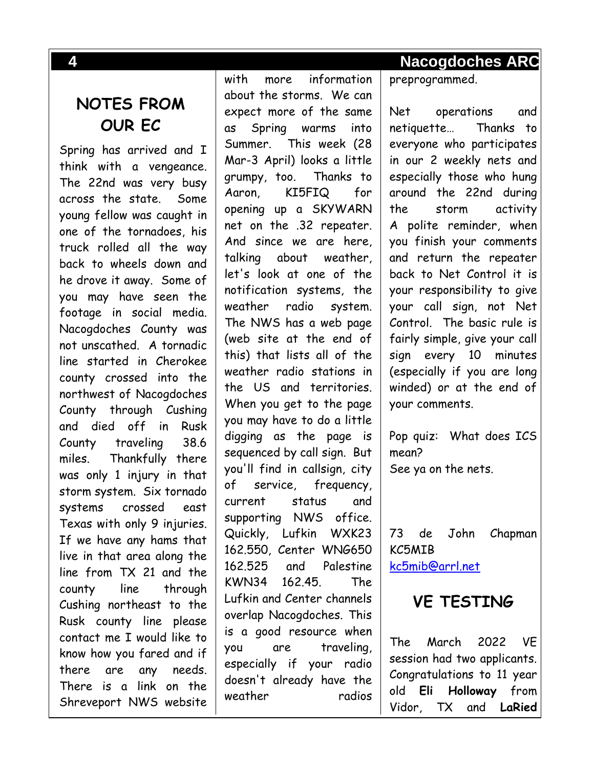# **NOTES FROM OUR EC**

Spring has arrived and I think with a vengeance. The 22nd was very busy across the state. Some young fellow was caught in one of the tornadoes, his truck rolled all the way back to wheels down and he drove it away. Some of you may have seen the footage in social media. Nacogdoches County was not unscathed. A tornadic line started in Cherokee county crossed into the northwest of Nacogdoches County through Cushing and died off in Rusk County traveling 38.6 miles. Thankfully there was only 1 injury in that storm system. Six tornado systems crossed east Texas with only 9 injuries. If we have any hams that live in that area along the line from TX 21 and the county line through Cushing northeast to the Rusk county line please contact me I would like to know how you fared and if there are any needs. There is a link on the Shreveport NWS website

with more information about the storms. We can expect more of the same as Spring warms into Summer. This week (28 Mar-3 April) looks a little grumpy, too. Thanks to Aaron, KI5FIQ for opening up a SKYWARN net on the .32 repeater. And since we are here, talking about weather, let's look at one of the notification systems, the weather radio system. The NWS has a web page (web site at the end of this) that lists all of the weather radio stations in the US and territories. When you get to the page you may have to do a little digging as the page is sequenced by call sign. But you'll find in callsign, city of service, frequency, current status and supporting NWS office. Quickly, Lufkin WXK23 162.550, Center WNG650 162.525 and Palestine KWN34 162.45. The Lufkin and Center channels overlap Nacogdoches. This is a good resource when you are traveling, especially if your radio doesn't already have the weather radios

preprogrammed.

Net operations and netiquette… Thanks to everyone who participates in our 2 weekly nets and especially those who hung around the 22nd during the storm activity A polite reminder, when you finish your comments and return the repeater back to Net Control it is your responsibility to give your call sign, not Net Control. The basic rule is fairly simple, give your call sign every 10 minutes (especially if you are long winded) or at the end of your comments.

Pop quiz: What does ICS mean? See ya on the nets.

73 de John Chapman KC5MIB [kc5mib@arrl.net](mailto:kc5mib@arrl.net)

#### **VE TESTING**

The March 2022 VE session had two applicants. Congratulations to 11 year old **Eli Holloway** from Vidor, TX and **LaRied**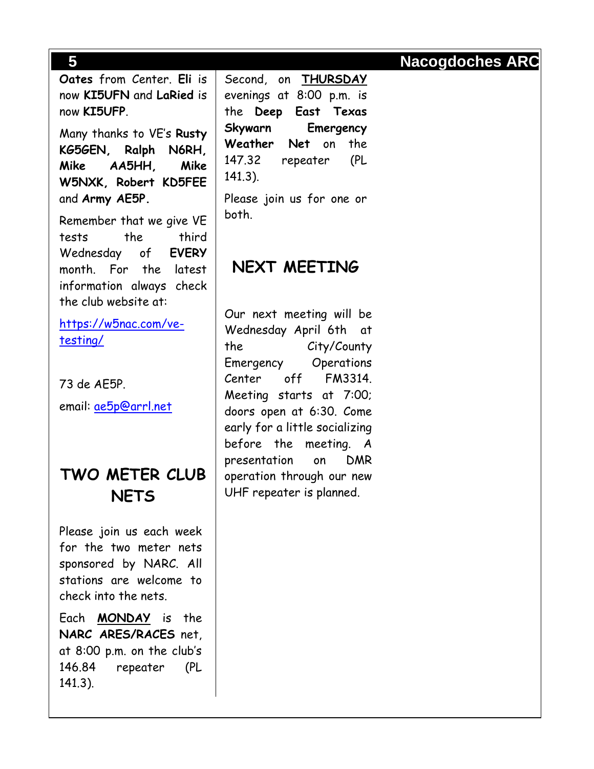**Oates** from Center. **Eli** is now **KI5UFN** and **LaRied** is now **KI5UFP**.

Many thanks to VE's **Rusty KG5GEN, Ralph N6RH, Mike AA5HH, Mike W5NXK, Robert KD5FEE** and **Army AE5P.**

Remember that we give VE tests the third Wednesday of **EVERY** month. For the latest information always check the club website at:

[https://w5nac.com/ve](https://w5nac.com/ve-testing/)[testing/](https://w5nac.com/ve-testing/)

73 de AE5P. email: [ae5p@arrl.net](mailto:ae5p@arrl.net)

# **TWO METER CLUB NETS**

Please join us each week for the two meter nets sponsored by NARC. All stations are welcome to check into the nets.

Each **MONDAY** is the **NARC ARES/RACES** net, at 8:00 p.m. on the club's 146.84 repeater (PL 141.3).

Second, on **THURSDAY** evenings at 8:00 p.m. is the **Deep East Texas Skywarn Emergency Weather Net** on the 147.32 repeater (PL 141.3).

Please join us for one or both.

# **NEXT MEETING**

Our next meeting will be Wednesday April 6th at the City/County Emergency Operations Center off FM3314. Meeting starts at 7:00; doors open at 6:30. Come early for a little socializing before the meeting. A presentation on DMR operation through our new UHF repeater is planned.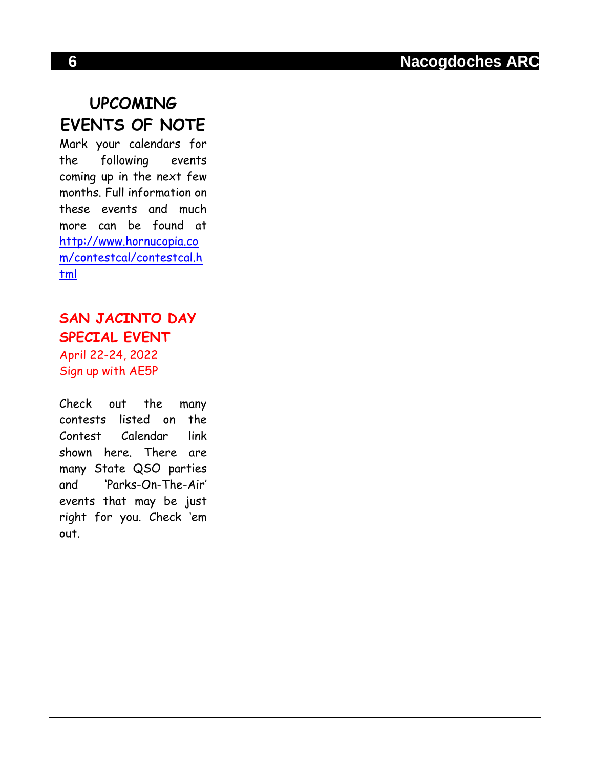# **UPCOMING EVENTS OF NOTE**

Mark your calendars for the following events coming up in the next few months. Full information on these events and much more can be found at [http://www.hornucopia.co](http://www.hornucopia.com/contestcal/contestcal.html) [m/contestcal/contestcal.h](http://www.hornucopia.com/contestcal/contestcal.html) [tml](http://www.hornucopia.com/contestcal/contestcal.html)

# **SAN JACINTO DAY SPECIAL EVENT**

April 22-24, 2022 Sign up with AE5P

Check out the many contests listed on the Contest Calendar link shown here. There are many State QSO parties and 'Parks-On-The-Air' events that may be just right for you. Check 'em out.